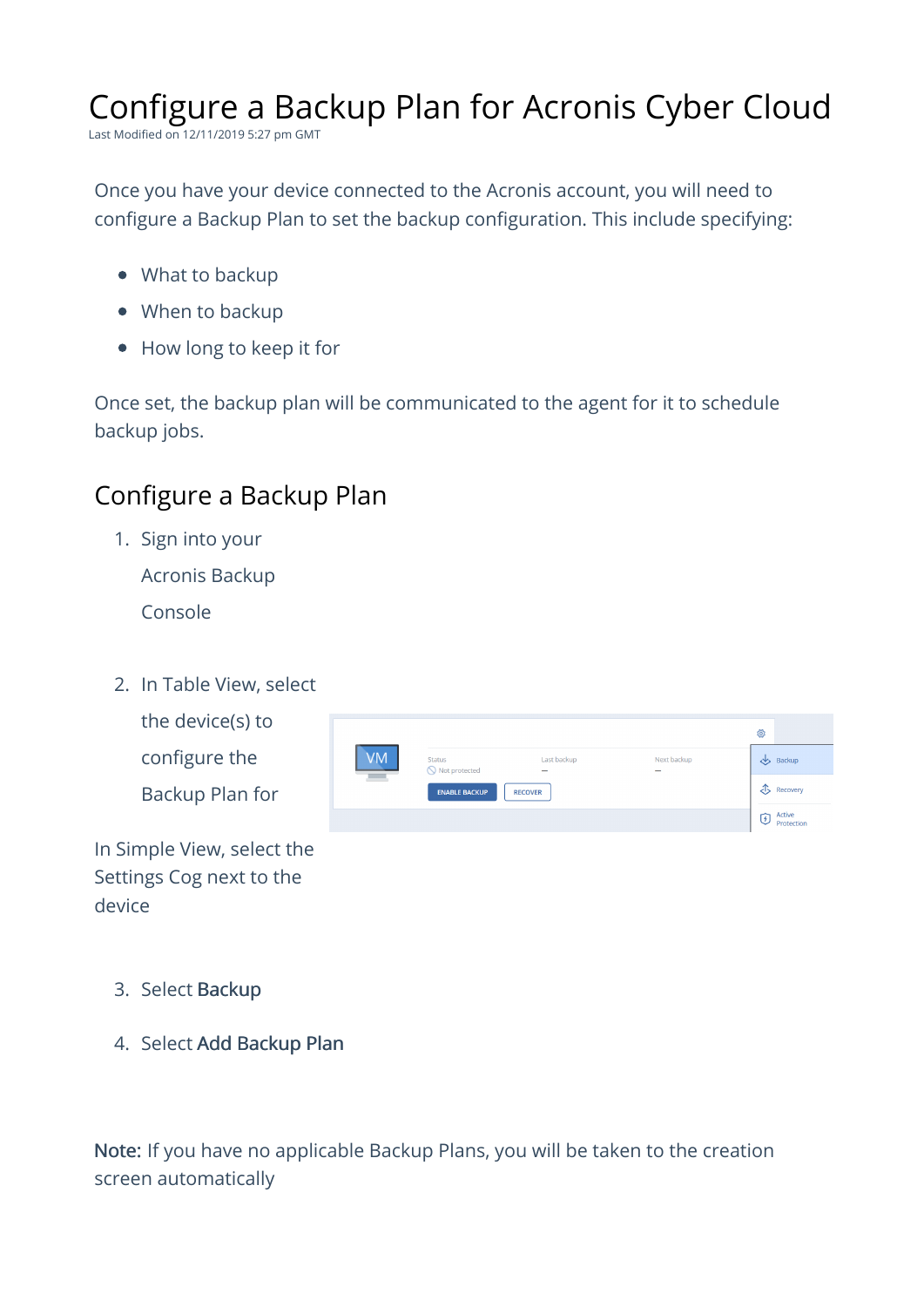# Configure a Backup Plan for Acronis Cyber Cloud

Last Modified on 12/11/2019 5:27 pm GMT

Once you have your device connected to the Acronis account, you will need to configure a Backup Plan to set the backup configuration. This include specifying:

- What to backup
- When to backup
- How long to keep it for

Once set, the backup plan will be communicated to the agent for it to schedule backup jobs.

## Configure a Backup Plan

1. Sign into your

Acronis Backup Console

2. In Table View, select

| the device(s) to |
|------------------|
| configure the    |
| Backup Plan for  |

|                |                                |                  |                                         | සූ                              |
|----------------|--------------------------------|------------------|-----------------------------------------|---------------------------------|
| <b>VM</b><br>═ | <b>Status</b><br>Not protected | Last backup<br>- | Next backup<br>$\overline{\phantom{0}}$ | Backup                          |
|                | <b>ENABLE BACKUP</b>           | <b>RECOVER</b>   |                                         | €<br>Recovery                   |
|                |                                |                  |                                         | Active<br>$\odot$<br>Protection |

In Simple View, select the Settings Cog next to the device

- 3. Select Backup
- 4. Select Add Backup Plan

Note: If you have no applicable Backup Plans, you will be taken to the creation screen automatically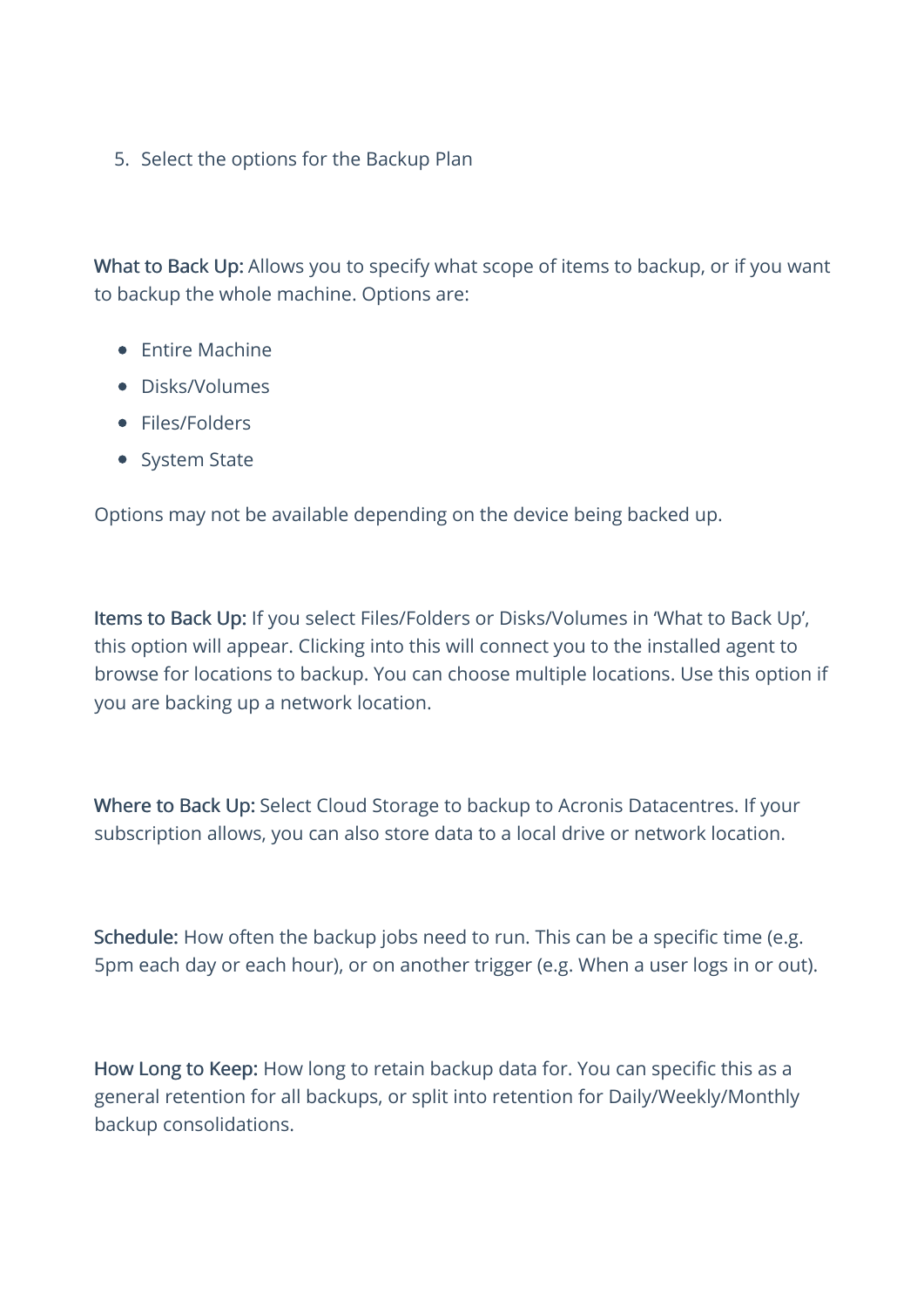5. Select the options for the Backup Plan

What to Back Up: Allows you to specify what scope of items to backup, or if you want to backup the whole machine. Options are:

- $\bullet$  Entire Machine
- Disks/Volumes
- Files/Folders
- System State

Options may not be available depending on the device being backed up.

Items to Back Up: If you select Files/Folders or Disks/Volumes in 'What to Back Up', this option will appear. Clicking into this will connect you to the installed agent to browse for locations to backup. You can choose multiple locations. Use this option if you are backing up a network location.

Where to Back Up: Select Cloud Storage to backup to Acronis Datacentres. If your subscription allows, you can also store data to a local drive or network location.

Schedule: How often the backup jobs need to run. This can be a specific time (e.g. 5pm each day or each hour), or on another trigger (e.g. When a user logs in or out).

How Long to Keep: How long to retain backup data for. You can specific this as a general retention for all backups, or split into retention for Daily/Weekly/Monthly backup consolidations.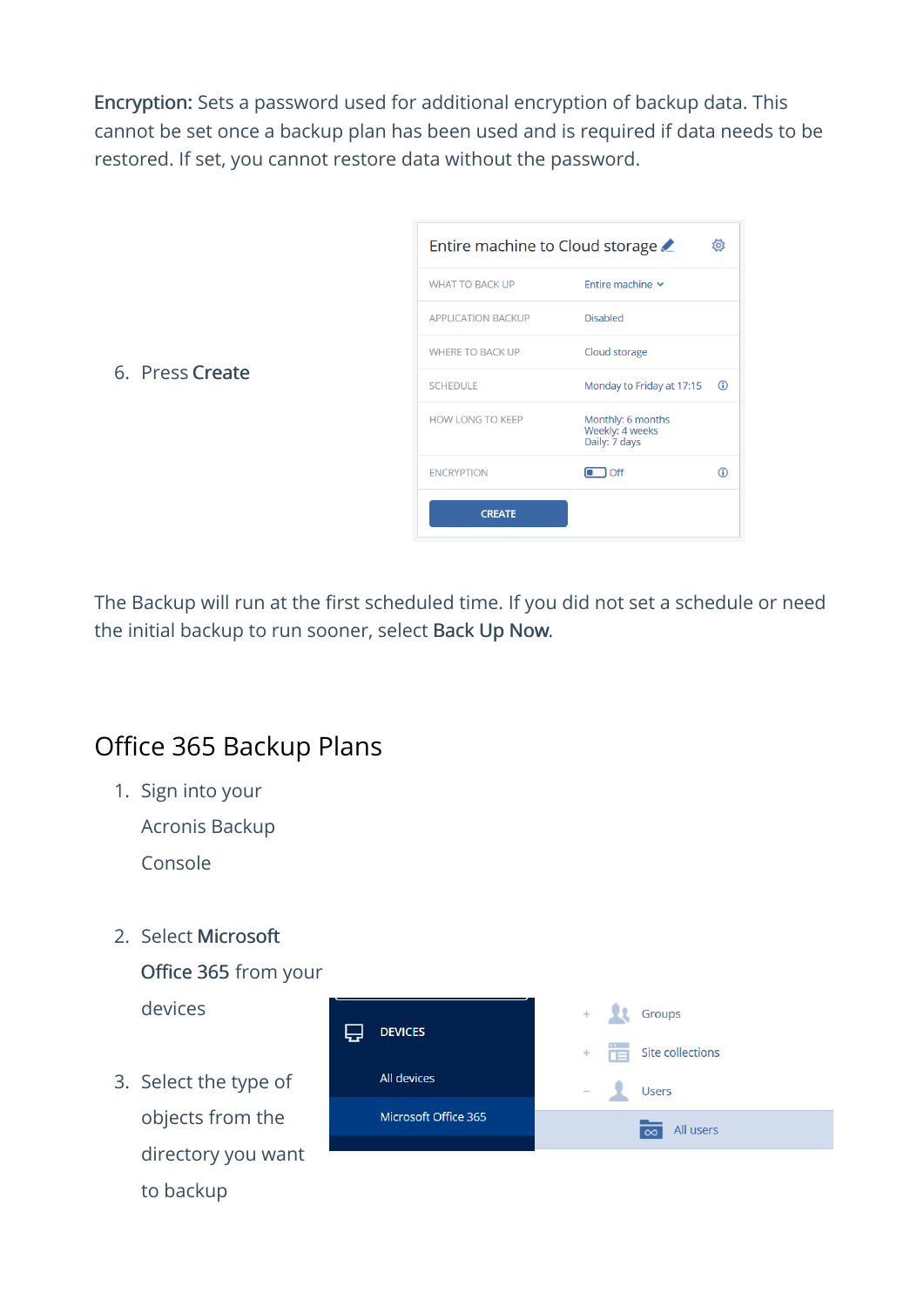Encryption: Sets a password used for additional encryption of backup data. This cannot be set once a backup plan has been used and is required if data needs to be restored. If set, you cannot restore data without the password.



#### 6. Press Create

The Backup will run at the first scheduled time. If you did not set a schedule or need the initial backup to run sooner, select Back Up Now.

#### Office 365 Backup Plans

1. Sign into your

Acronis Backup

Console

2. Select Microsoft

Office 365 from your

devices

3. Select the type of objects from the directory you want to backup

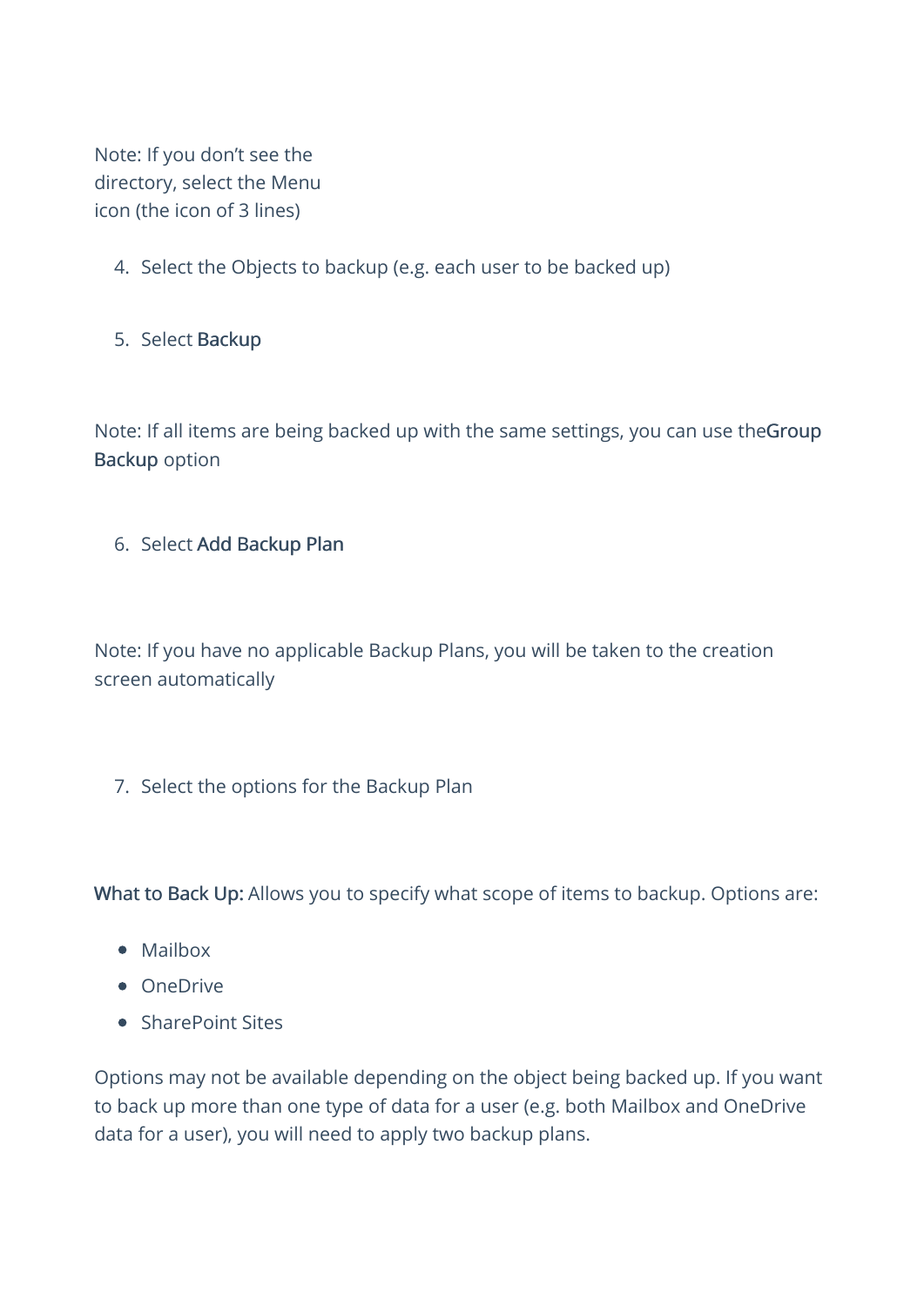Note: If you don't see the directory, select the Menu icon (the icon of 3 lines)

4. Select the Objects to backup (e.g. each user to be backed up)

#### 5. Select Backup

Note: If all items are being backed up with the same settings, you can use theGroup Backup option

6. Select Add Backup Plan

Note: If you have no applicable Backup Plans, you will be taken to the creation screen automatically

7. Select the options for the Backup Plan

What to Back Up: Allows you to specify what scope of items to backup. Options are:

- Mailbox
- OneDrive
- SharePoint Sites

Options may not be available depending on the object being backed up. If you want to back up more than one type of data for a user (e.g. both Mailbox and OneDrive data for a user), you will need to apply two backup plans.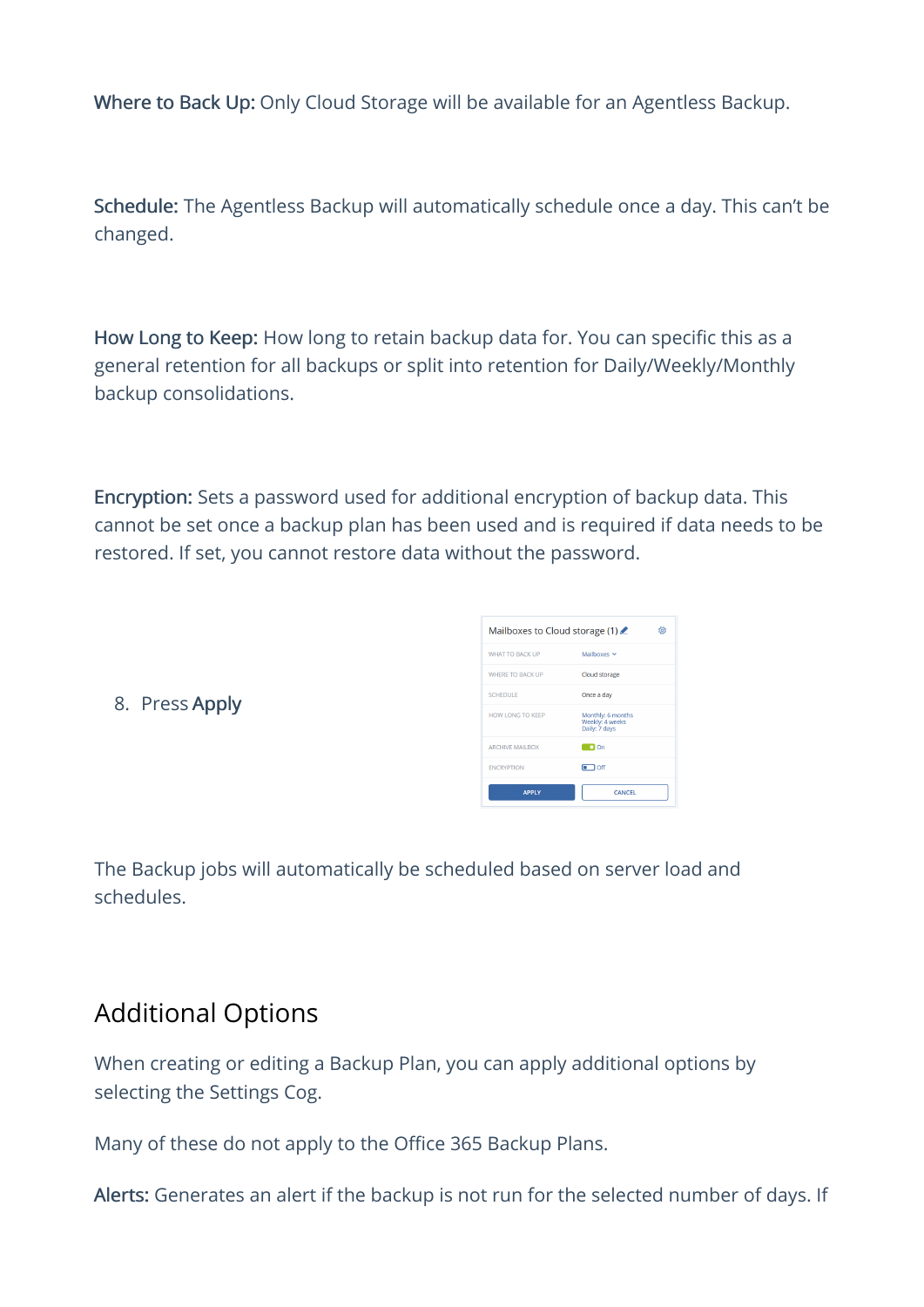Where to Back Up: Only Cloud Storage will be available for an Agentless Backup.

Schedule: The Agentless Backup will automatically schedule once a day. This can't be changed.

How Long to Keep: How long to retain backup data for. You can specific this as a general retention for all backups or split into retention for Daily/Weekly/Monthly backup consolidations.

Encryption: Sets a password used for additional encryption of backup data. This cannot be set once a backup plan has been used and is required if data needs to be restored. If set, you cannot restore data without the password.

- Mailboxes to Cloud storage (1) ස WHAT TO BACK UP Mailboxes  $\sim$ WHERE TO BACK UP Cloud storage SCHEDULE Once a day HOW LONG TO KEEP Monthly: 6 months<br>Weekly: 4 weeks<br>Daily: 7 days  $\Box$  On ARCHIVE MAILBOX ENCRYPTION  $\Box$  off CANCEL
- 8. Press Apply

The Backup jobs will automatically be scheduled based on server load and schedules.

### Additional Options

When creating or editing a Backup Plan, you can apply additional options by selecting the Settings Cog.

Many of these do not apply to the Office 365 Backup Plans.

Alerts: Generates an alert if the backup is not run for the selected number of days. If